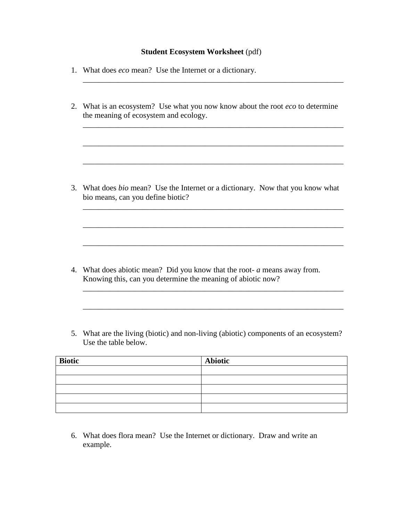## **Student Ecosystem Worksheet** (pdf)

- 1. What does *eco* mean? Use the Internet or a dictionary.
- 2. What is an ecosystem? Use what you now know about the root *eco* to determine the meaning of ecosystem and ecology.

\_\_\_\_\_\_\_\_\_\_\_\_\_\_\_\_\_\_\_\_\_\_\_\_\_\_\_\_\_\_\_\_\_\_\_\_\_\_\_\_\_\_\_\_\_\_\_\_\_\_\_\_\_\_\_\_\_\_\_\_\_\_\_\_\_\_

\_\_\_\_\_\_\_\_\_\_\_\_\_\_\_\_\_\_\_\_\_\_\_\_\_\_\_\_\_\_\_\_\_\_\_\_\_\_\_\_\_\_\_\_\_\_\_\_\_\_\_\_\_\_\_\_\_\_\_\_\_\_\_\_\_\_

\_\_\_\_\_\_\_\_\_\_\_\_\_\_\_\_\_\_\_\_\_\_\_\_\_\_\_\_\_\_\_\_\_\_\_\_\_\_\_\_\_\_\_\_\_\_\_\_\_\_\_\_\_\_\_\_\_\_\_\_\_\_\_\_\_\_

\_\_\_\_\_\_\_\_\_\_\_\_\_\_\_\_\_\_\_\_\_\_\_\_\_\_\_\_\_\_\_\_\_\_\_\_\_\_\_\_\_\_\_\_\_\_\_\_\_\_\_\_\_\_\_\_\_\_\_\_\_\_\_\_\_\_

\_\_\_\_\_\_\_\_\_\_\_\_\_\_\_\_\_\_\_\_\_\_\_\_\_\_\_\_\_\_\_\_\_\_\_\_\_\_\_\_\_\_\_\_\_\_\_\_\_\_\_\_\_\_\_\_\_\_\_\_\_\_\_\_\_\_

\_\_\_\_\_\_\_\_\_\_\_\_\_\_\_\_\_\_\_\_\_\_\_\_\_\_\_\_\_\_\_\_\_\_\_\_\_\_\_\_\_\_\_\_\_\_\_\_\_\_\_\_\_\_\_\_\_\_\_\_\_\_\_\_\_\_

\_\_\_\_\_\_\_\_\_\_\_\_\_\_\_\_\_\_\_\_\_\_\_\_\_\_\_\_\_\_\_\_\_\_\_\_\_\_\_\_\_\_\_\_\_\_\_\_\_\_\_\_\_\_\_\_\_\_\_\_\_\_\_\_\_\_

\_\_\_\_\_\_\_\_\_\_\_\_\_\_\_\_\_\_\_\_\_\_\_\_\_\_\_\_\_\_\_\_\_\_\_\_\_\_\_\_\_\_\_\_\_\_\_\_\_\_\_\_\_\_\_\_\_\_\_\_\_\_\_\_\_\_

\_\_\_\_\_\_\_\_\_\_\_\_\_\_\_\_\_\_\_\_\_\_\_\_\_\_\_\_\_\_\_\_\_\_\_\_\_\_\_\_\_\_\_\_\_\_\_\_\_\_\_\_\_\_\_\_\_\_\_\_\_\_\_\_\_\_

3. What does *bio* mean? Use the Internet or a dictionary. Now that you know what bio means, can you define biotic?

- 4. What does abiotic mean? Did you know that the root- *a* means away from. Knowing this, can you determine the meaning of abiotic now?
- 5. What are the living (biotic) and non-living (abiotic) components of an ecosystem? Use the table below.

| <b>Biotic</b> | <b>Abiotic</b> |
|---------------|----------------|
|               |                |
|               |                |
|               |                |
|               |                |
|               |                |

6. What does flora mean? Use the Internet or dictionary. Draw and write an example.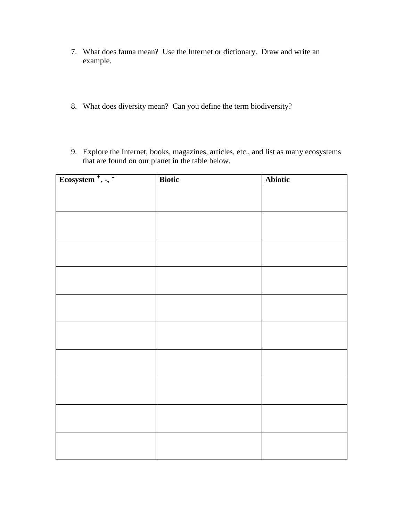- 7. What does fauna mean? Use the Internet or dictionary. Draw and write an example.
- 8. What does diversity mean? Can you define the term biodiversity?
- 9. Explore the Internet, books, magazines, articles, etc., and list as many ecosystems that are found on our planet in the table below.

| Ecosystem <sup><math>\uparrow</math></sup> , -, $\uparrow$ | <b>Biotic</b> | <b>Abiotic</b> |
|------------------------------------------------------------|---------------|----------------|
|                                                            |               |                |
|                                                            |               |                |
|                                                            |               |                |
|                                                            |               |                |
|                                                            |               |                |
|                                                            |               |                |
|                                                            |               |                |
|                                                            |               |                |
|                                                            |               |                |
|                                                            |               |                |
|                                                            |               |                |
|                                                            |               |                |
|                                                            |               |                |
|                                                            |               |                |
|                                                            |               |                |
|                                                            |               |                |
|                                                            |               |                |
|                                                            |               |                |
|                                                            |               |                |
|                                                            |               |                |
|                                                            |               |                |
|                                                            |               |                |
|                                                            |               |                |
|                                                            |               |                |
|                                                            |               |                |
|                                                            |               |                |